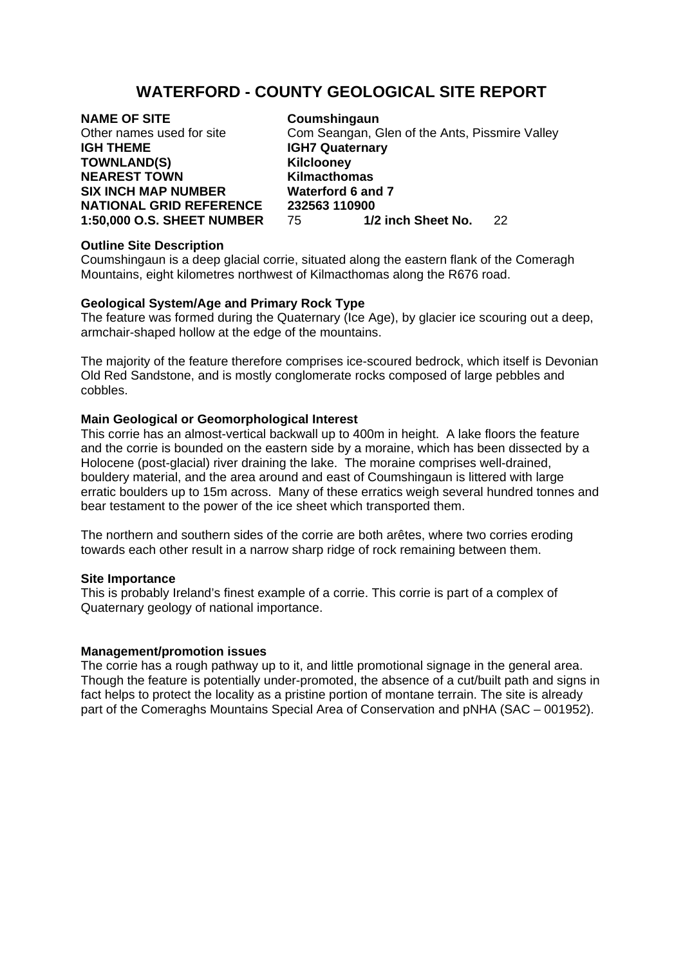# **WATERFORD - COUNTY GEOLOGICAL SITE REPORT**

**NAME OF SITE Coumshingaun**<br>
Other names used for site **Com Seangan**. G **IGH THEME IGH7 Quaternary** TOWNLAND(S) **Kilclooney NEAREST TOWN Kilmacthomas SIX INCH MAP NUMBER Waterford 6 and 7** 

Com Seangan, Glen of the Ants, Pissmire Valley **NATIONAL GRID REFERENCE** 232563 110900<br>1:50.000 O.S. SHEET NUMBER 75 1/2 inch Sheet No. **1:50,000 O.S. SHEET NUMBER** 75 **1/2 inch Sheet No.** 22

## **Outline Site Description**

Coumshingaun is a deep glacial corrie, situated along the eastern flank of the Comeragh Mountains, eight kilometres northwest of Kilmacthomas along the R676 road.

## **Geological System/Age and Primary Rock Type**

The feature was formed during the Quaternary (Ice Age), by glacier ice scouring out a deep, armchair-shaped hollow at the edge of the mountains.

The majority of the feature therefore comprises ice-scoured bedrock, which itself is Devonian Old Red Sandstone, and is mostly conglomerate rocks composed of large pebbles and cobbles.

# **Main Geological or Geomorphological Interest**

This corrie has an almost-vertical backwall up to 400m in height. A lake floors the feature and the corrie is bounded on the eastern side by a moraine, which has been dissected by a Holocene (post-glacial) river draining the lake. The moraine comprises well-drained, bouldery material, and the area around and east of Coumshingaun is littered with large erratic boulders up to 15m across. Many of these erratics weigh several hundred tonnes and bear testament to the power of the ice sheet which transported them.

The northern and southern sides of the corrie are both arêtes, where two corries eroding towards each other result in a narrow sharp ridge of rock remaining between them.

### **Site Importance**

This is probably Ireland's finest example of a corrie. This corrie is part of a complex of Quaternary geology of national importance.

### **Management/promotion issues**

The corrie has a rough pathway up to it, and little promotional signage in the general area. Though the feature is potentially under-promoted, the absence of a cut/built path and signs in fact helps to protect the locality as a pristine portion of montane terrain. The site is already part of the Comeraghs Mountains Special Area of Conservation and pNHA (SAC – 001952).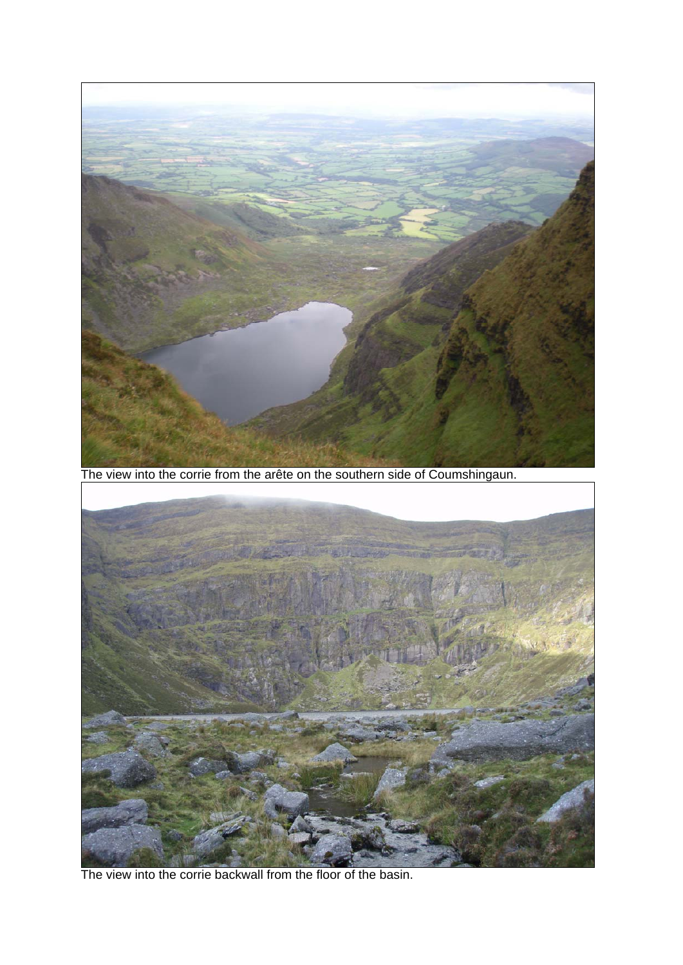

The view into the corrie backwall from the floor of the basin.